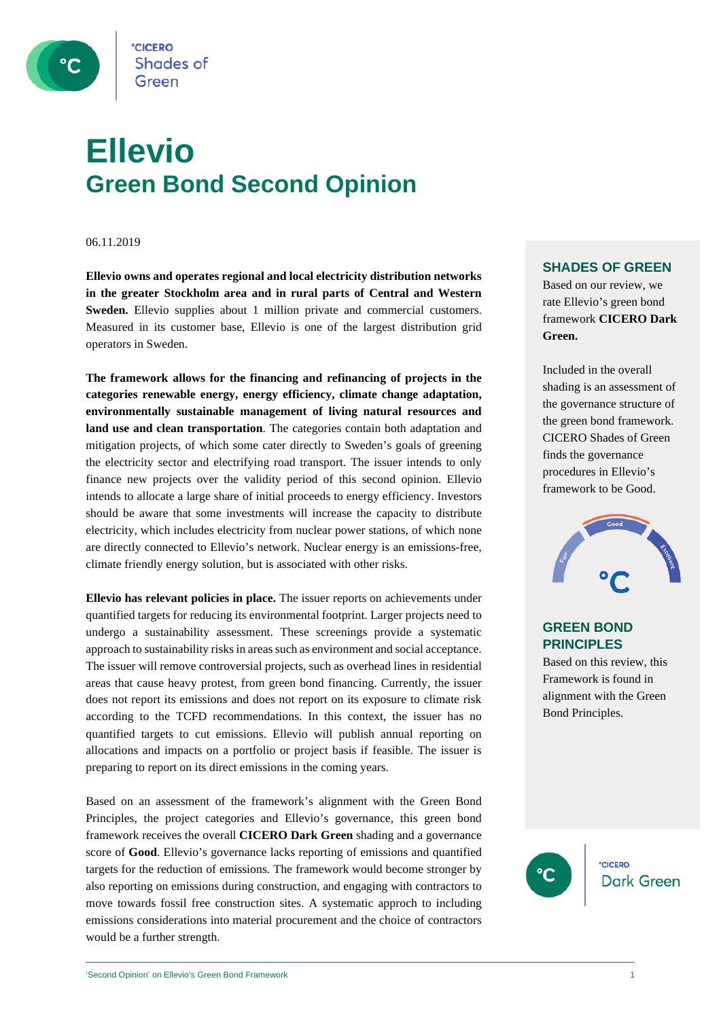

### **Ellevio Green Bond Second Opinion**

06.11.2019

**Ellevio owns and operates regional and local electricity distribution networks in the greater Stockholm area and in rural parts of Central and Western Sweden.** Ellevio supplies about 1 million private and commercial customers. Measured in its customer base, Ellevio is one of the largest distribution grid operators in Sweden.

**The framework allows for the financing and refinancing of projects in the categories renewable energy, energy efficiency, climate change adaptation, environmentally sustainable management of living natural resources and land use and clean transportation**. The categories contain both adaptation and mitigation projects, of which some cater directly to Sweden's goals of greening the electricity sector and electrifying road transport. The issuer intends to only finance new projects over the validity period of this second opinion. Ellevio intends to allocate a large share of initial proceeds to energy efficiency. Investors should be aware that some investments will increase the capacity to distribute electricity, which includes electricity from nuclear power stations, of which none are directly connected to Ellevio's network. Nuclear energy is an emissions-free, climate friendly energy solution, but is associated with other risks.

**Ellevio has relevant policies in place.** The issuer reports on achievements under quantified targets for reducing its environmental footprint. Larger projects need to undergo a sustainability assessment. These screenings provide a systematic approach to sustainability risks in areas such as environment and social acceptance. The issuer will remove controversial projects, such as overhead lines in residential areas that cause heavy protest, from green bond financing. Currently, the issuer does not report its emissions and does not report on its exposure to climate risk according to the TCFD recommendations. In this context, the issuer has no quantified targets to cut emissions. Ellevio will publish annual reporting on allocations and impacts on a portfolio or project basis if feasible. The issuer is preparing to report on its direct emissions in the coming years.

Based on an assessment of the framework's alignment with the Green Bond Principles, the project categories and Ellevio's governance, this green bond framework receives the overall **CICERO Dark Green** shading and a governance score of **Good**. Ellevio's governance lacks reporting of emissions and quantified targets for the reduction of emissions. The framework would become stronger by also reporting on emissions during construction, and engaging with contractors to move towards fossil free construction sites. A systematic approch to including emissions considerations into material procurement and the choice of contractors would be a further strength.

### **SHADES OF GREEN**

Based on our review, we rate Ellevio's green bond framework **CICERO Dark Green.** 

Included in the overall shading is an assessment of the governance structure of the green bond framework. CICERO Shades of Green finds the governance procedures in Ellevio's framework to be Good.



### **GREEN BOND PRINCIPLES**

Based on this review, this Framework is found in alignment with the Green Bond Principles.

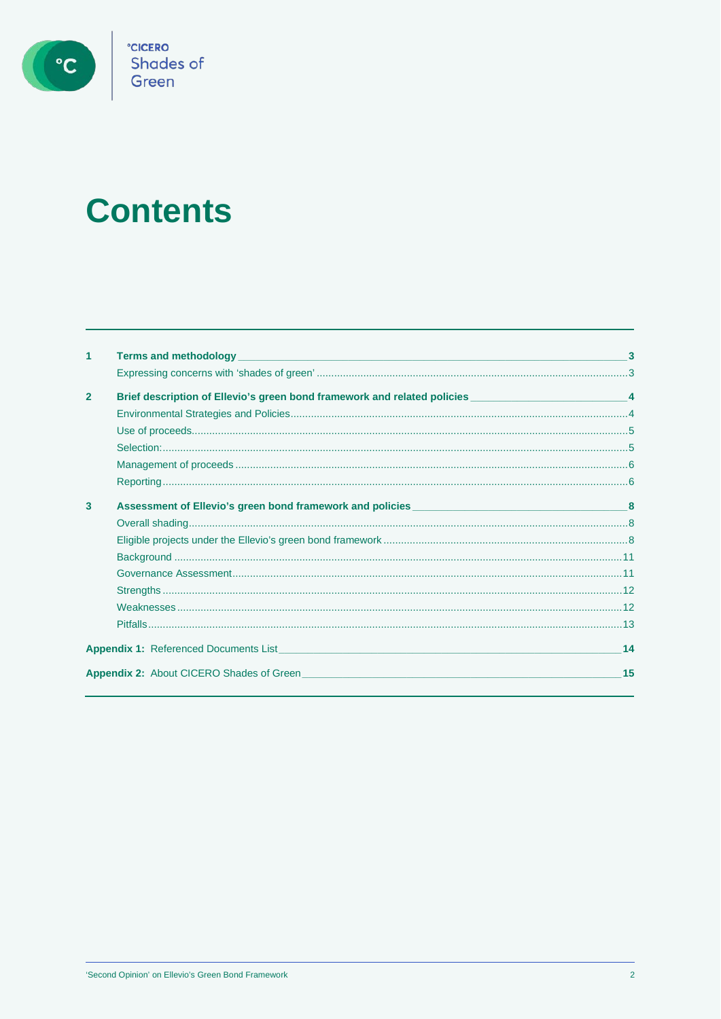

# °cicero<br>Shades of<br>Green

## **Contents**

|                | <b>Terms and methodology</b><br>the control of the control of the control of the control of the control of the control of the control of the control of the control of the control of the control of the control of the control of the control of the control | 3  |
|----------------|---------------------------------------------------------------------------------------------------------------------------------------------------------------------------------------------------------------------------------------------------------------|----|
|                |                                                                                                                                                                                                                                                               |    |
| $\overline{2}$ | Brief description of Ellevio's green bond framework and related policies ________________________________4                                                                                                                                                    |    |
|                |                                                                                                                                                                                                                                                               |    |
|                |                                                                                                                                                                                                                                                               |    |
|                |                                                                                                                                                                                                                                                               |    |
|                |                                                                                                                                                                                                                                                               |    |
|                |                                                                                                                                                                                                                                                               |    |
| 3              |                                                                                                                                                                                                                                                               |    |
|                |                                                                                                                                                                                                                                                               |    |
|                |                                                                                                                                                                                                                                                               |    |
|                |                                                                                                                                                                                                                                                               |    |
|                |                                                                                                                                                                                                                                                               |    |
|                |                                                                                                                                                                                                                                                               |    |
|                |                                                                                                                                                                                                                                                               |    |
|                |                                                                                                                                                                                                                                                               |    |
|                | <b>Appendix 1:</b> Referenced Documents List <b>Contract Contract Contract Contract Contract Contract Contract Contract Contract Contract Contract Contract Contract Contract Contract Contract Contract Contract Contract Contract C</b>                     | 14 |
|                | <b>Appendix 2:</b> About CICERO Shades of Green                                                                                                                                                                                                               | 15 |
|                |                                                                                                                                                                                                                                                               |    |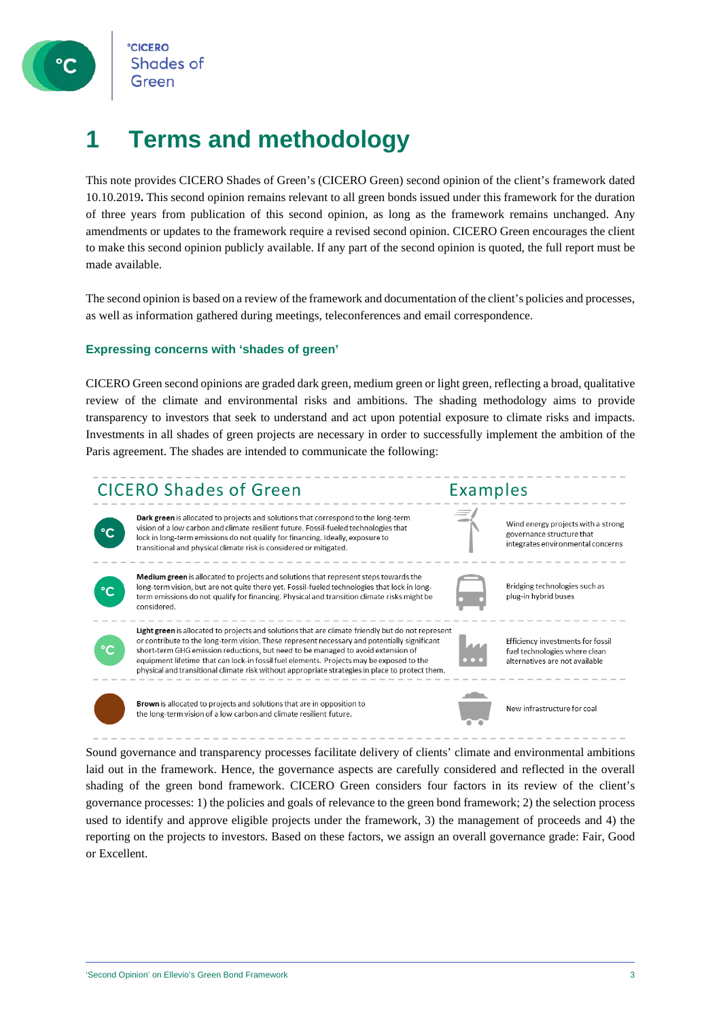

### **1 Terms and methodology**

This note provides CICERO Shades of Green's (CICERO Green) second opinion of the client's framework dated 10.10.2019**.** This second opinion remains relevant to all green bonds issued under this framework for the duration of three years from publication of this second opinion, as long as the framework remains unchanged. Any amendments or updates to the framework require a revised second opinion. CICERO Green encourages the client to make this second opinion publicly available. If any part of the second opinion is quoted, the full report must be made available.

The second opinion is based on a review of the framework and documentation of the client's policies and processes, as well as information gathered during meetings, teleconferences and email correspondence.

### **Expressing concerns with 'shades of green'**

CICERO Green second opinions are graded dark green, medium green or light green, reflecting a broad, qualitative review of the climate and environmental risks and ambitions. The shading methodology aims to provide transparency to investors that seek to understand and act upon potential exposure to climate risks and impacts. Investments in all shades of green projects are necessary in order to successfully implement the ambition of the Paris agreement. The shades are intended to communicate the following:



Sound governance and transparency processes facilitate delivery of clients' climate and environmental ambitions laid out in the framework. Hence, the governance aspects are carefully considered and reflected in the overall shading of the green bond framework. CICERO Green considers four factors in its review of the client's governance processes: 1) the policies and goals of relevance to the green bond framework; 2) the selection process used to identify and approve eligible projects under the framework, 3) the management of proceeds and 4) the reporting on the projects to investors. Based on these factors, we assign an overall governance grade: Fair, Good or Excellent.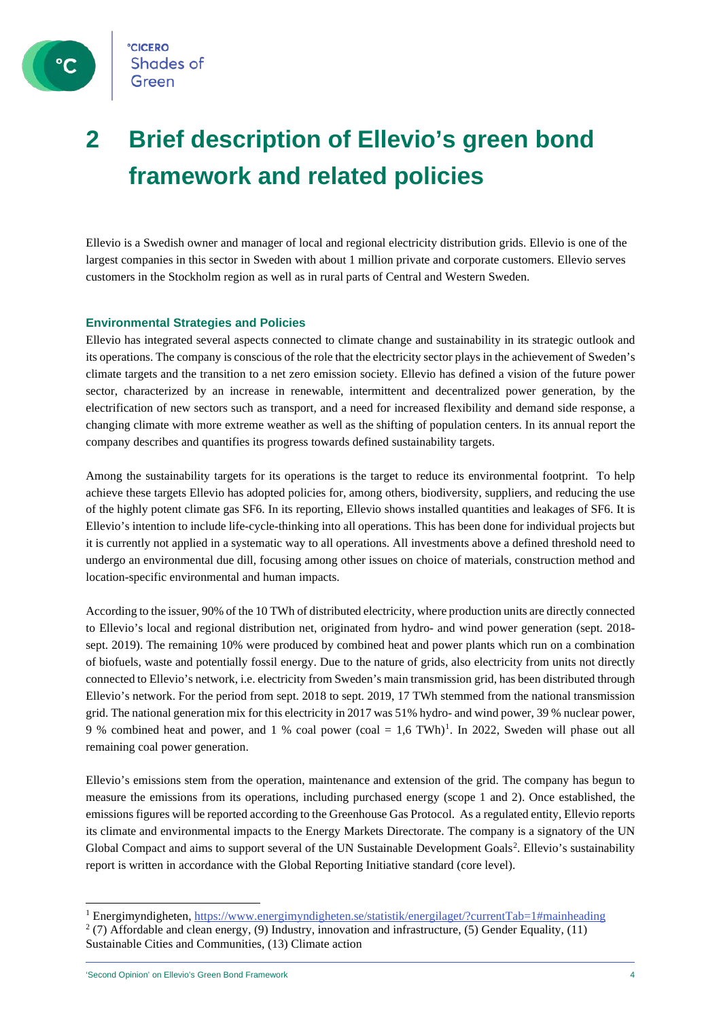

**CICERO Shades of** 

### **2 Brief description of Ellevio's green bond framework and related policies**

Ellevio is a Swedish owner and manager of local and regional electricity distribution grids. Ellevio is one of the largest companies in this sector in Sweden with about 1 million private and corporate customers. Ellevio serves customers in the Stockholm region as well as in rural parts of Central and Western Sweden.

### **Environmental Strategies and Policies**

Ellevio has integrated several aspects connected to climate change and sustainability in its strategic outlook and its operations. The company is conscious of the role that the electricity sector plays in the achievement of Sweden's climate targets and the transition to a net zero emission society. Ellevio has defined a vision of the future power sector, characterized by an increase in renewable, intermittent and decentralized power generation, by the electrification of new sectors such as transport, and a need for increased flexibility and demand side response, a changing climate with more extreme weather as well as the shifting of population centers. In its annual report the company describes and quantifies its progress towards defined sustainability targets.

Among the sustainability targets for its operations is the target to reduce its environmental footprint. To help achieve these targets Ellevio has adopted policies for, among others, biodiversity, suppliers, and reducing the use of the highly potent climate gas SF6. In its reporting, Ellevio shows installed quantities and leakages of SF6. It is Ellevio's intention to include life-cycle-thinking into all operations. This has been done for individual projects but it is currently not applied in a systematic way to all operations. All investments above a defined threshold need to undergo an environmental due dill, focusing among other issues on choice of materials, construction method and location-specific environmental and human impacts.

According to the issuer, 90% of the 10 TWh of distributed electricity, where production units are directly connected to Ellevio's local and regional distribution net, originated from hydro- and wind power generation (sept. 2018 sept. 2019). The remaining 10% were produced by combined heat and power plants which run on a combination of biofuels, waste and potentially fossil energy. Due to the nature of grids, also electricity from units not directly connected to Ellevio's network, i.e. electricity from Sweden's main transmission grid, has been distributed through Ellevio's network. For the period from sept. 2018 to sept. 2019, 17 TWh stemmed from the national transmission grid. The national generation mix for this electricity in 2017 was 51% hydro- and wind power, 39 % nuclear power, 9 % combined heat and power, and 1 % coal power (coal = 1,6 TWh)[1](#page-3-0). In 2022, Sweden will phase out all remaining coal power generation.

Ellevio's emissions stem from the operation, maintenance and extension of the grid. The company has begun to measure the emissions from its operations, including purchased energy (scope 1 and 2). Once established, the emissions figures will be reported according to the Greenhouse Gas Protocol. As a regulated entity, Ellevio reports its climate and environmental impacts to the Energy Markets Directorate. The company is a signatory of the UN Global Compact and aims to support several of the UN Sustainable Development Goals<sup>[2](#page-3-1)</sup>. Ellevio's sustainability report is written in accordance with the Global Reporting Initiative standard (core level).

<span id="page-3-1"></span><span id="page-3-0"></span><sup>1</sup> Energimyndigheten[, https://www.energimyndigheten.se/statistik/energilaget/?currentTab=1#mainheading](https://www.energimyndigheten.se/statistik/energilaget/?currentTab=1#mainheading)  $2$  (7) Affordable and clean energy, (9) Industry, innovation and infrastructure, (5) Gender Equality, (11) Sustainable Cities and Communities, (13) Climate action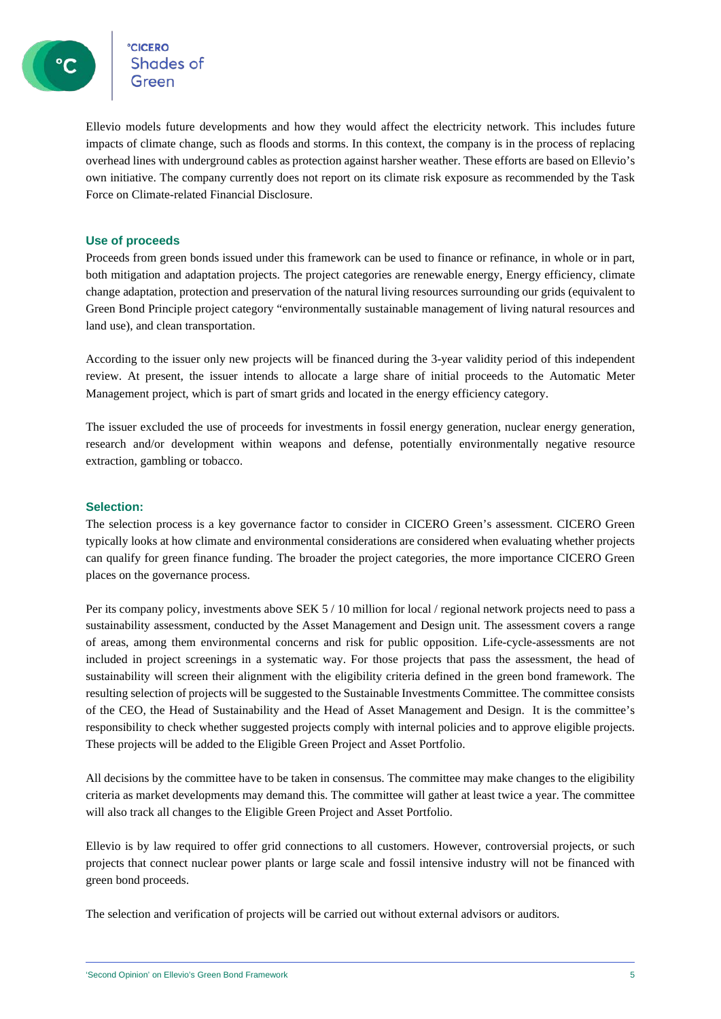ec<mark>cero</mark><br>Shades of

Ellevio models future developments and how they would affect the electricity network. This includes future impacts of climate change, such as floods and storms. In this context, the company is in the process of replacing overhead lines with underground cables as protection against harsher weather. These efforts are based on Ellevio's own initiative. The company currently does not report on its climate risk exposure as recommended by the Task Force on Climate-related Financial Disclosure.

### **Use of proceeds**

Proceeds from green bonds issued under this framework can be used to finance or refinance, in whole or in part, both mitigation and adaptation projects. The project categories are renewable energy, Energy efficiency, climate change adaptation, protection and preservation of the natural living resources surrounding our grids (equivalent to Green Bond Principle project category "environmentally sustainable management of living natural resources and land use), and clean transportation.

According to the issuer only new projects will be financed during the 3-year validity period of this independent review. At present, the issuer intends to allocate a large share of initial proceeds to the Automatic Meter Management project, which is part of smart grids and located in the energy efficiency category.

The issuer excluded the use of proceeds for investments in fossil energy generation, nuclear energy generation, research and/or development within weapons and defense, potentially environmentally negative resource extraction, gambling or tobacco.

### **Selection:**

The selection process is a key governance factor to consider in CICERO Green's assessment. CICERO Green typically looks at how climate and environmental considerations are considered when evaluating whether projects can qualify for green finance funding. The broader the project categories, the more importance CICERO Green places on the governance process.

Per its company policy, investments above SEK 5 / 10 million for local / regional network projects need to pass a sustainability assessment, conducted by the Asset Management and Design unit. The assessment covers a range of areas, among them environmental concerns and risk for public opposition. Life-cycle-assessments are not included in project screenings in a systematic way. For those projects that pass the assessment, the head of sustainability will screen their alignment with the eligibility criteria defined in the green bond framework. The resulting selection of projects will be suggested to the Sustainable Investments Committee. The committee consists of the CEO, the Head of Sustainability and the Head of Asset Management and Design. It is the committee's responsibility to check whether suggested projects comply with internal policies and to approve eligible projects. These projects will be added to the Eligible Green Project and Asset Portfolio.

All decisions by the committee have to be taken in consensus. The committee may make changes to the eligibility criteria as market developments may demand this. The committee will gather at least twice a year. The committee will also track all changes to the Eligible Green Project and Asset Portfolio.

Ellevio is by law required to offer grid connections to all customers. However, controversial projects, or such projects that connect nuclear power plants or large scale and fossil intensive industry will not be financed with green bond proceeds.

The selection and verification of projects will be carried out without external advisors or auditors.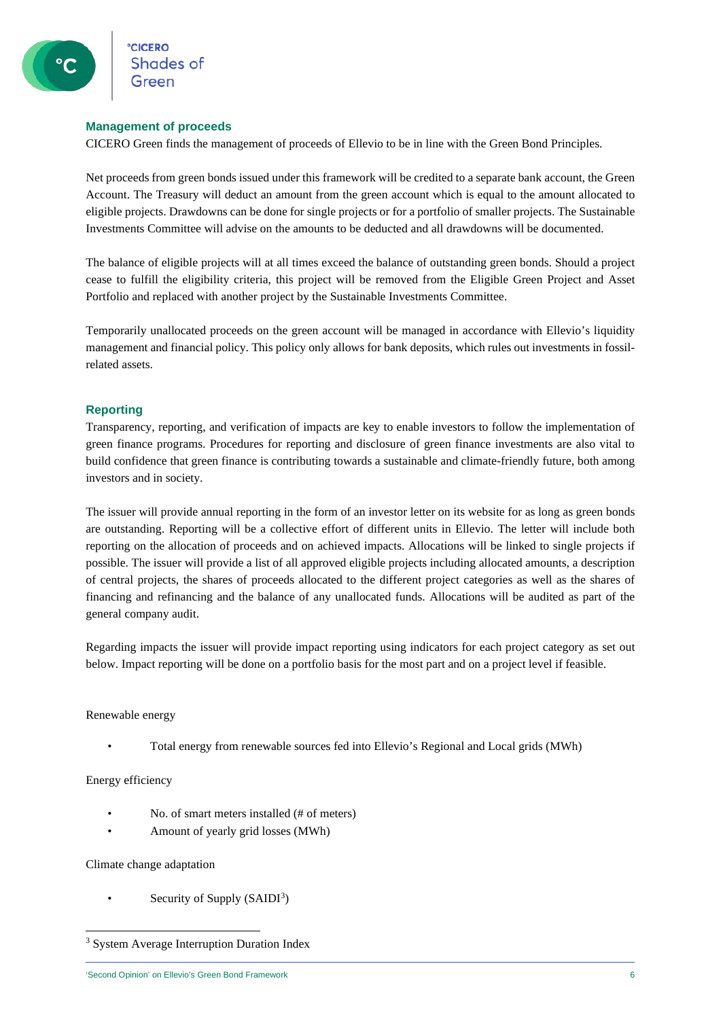### **Management of proceeds**

CICERO Green finds the management of proceeds of Ellevio to be in line with the Green Bond Principles.

Net proceeds from green bonds issued under this framework will be credited to a separate bank account, the Green Account. The Treasury will deduct an amount from the green account which is equal to the amount allocated to eligible projects. Drawdowns can be done for single projects or for a portfolio of smaller projects. The Sustainable Investments Committee will advise on the amounts to be deducted and all drawdowns will be documented.

The balance of eligible projects will at all times exceed the balance of outstanding green bonds. Should a project cease to fulfill the eligibility criteria, this project will be removed from the Eligible Green Project and Asset Portfolio and replaced with another project by the Sustainable Investments Committee.

Temporarily unallocated proceeds on the green account will be managed in accordance with Ellevio's liquidity management and financial policy. This policy only allows for bank deposits, which rules out investments in fossilrelated assets.

### **Reporting**

Transparency, reporting, and verification of impacts are key to enable investors to follow the implementation of green finance programs. Procedures for reporting and disclosure of green finance investments are also vital to build confidence that green finance is contributing towards a sustainable and climate-friendly future, both among investors and in society.

The issuer will provide annual reporting in the form of an investor letter on its website for as long as green bonds are outstanding. Reporting will be a collective effort of different units in Ellevio. The letter will include both reporting on the allocation of proceeds and on achieved impacts. Allocations will be linked to single projects if possible. The issuer will provide a list of all approved eligible projects including allocated amounts, a description of central projects, the shares of proceeds allocated to the different project categories as well as the shares of financing and refinancing and the balance of any unallocated funds. Allocations will be audited as part of the general company audit.

Regarding impacts the issuer will provide impact reporting using indicators for each project category as set out below. Impact reporting will be done on a portfolio basis for the most part and on a project level if feasible.

### Renewable energy

• Total energy from renewable sources fed into Ellevio's Regional and Local grids (MWh)

### Energy efficiency

- No. of smart meters installed (# of meters)
- Amount of yearly grid losses (MWh)

### Climate change adaptation

• Security of Supply (SAIDI<sup>[3](#page-5-0)</sup>)

<span id="page-5-0"></span><sup>3</sup> System Average Interruption Duration Index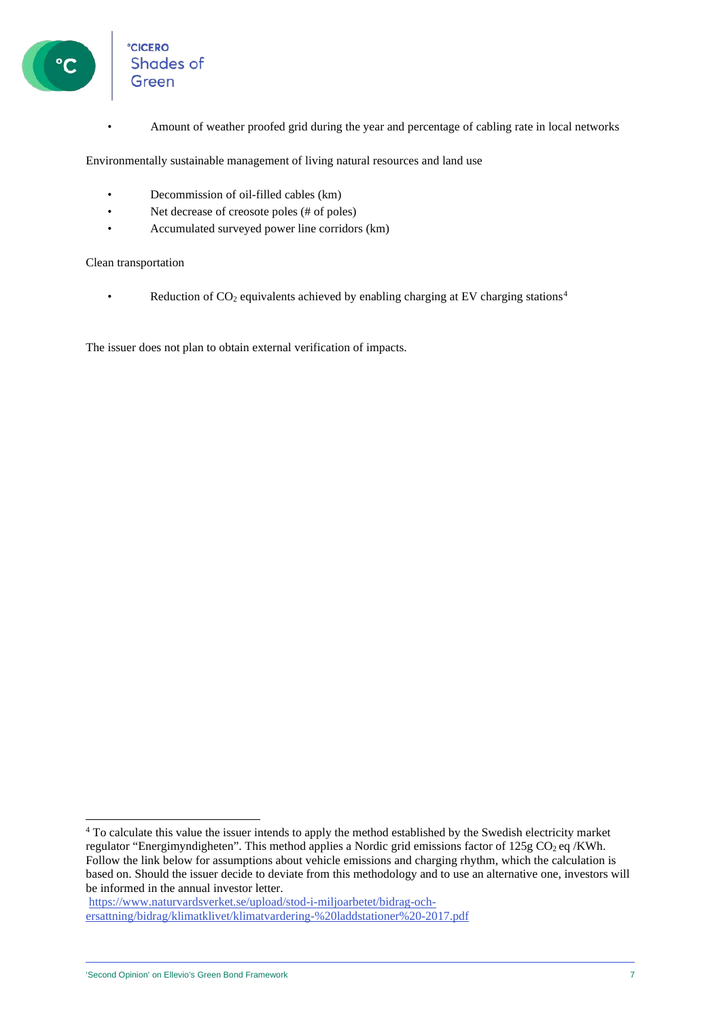

**CICERO** Shades of

• Amount of weather proofed grid during the year and percentage of cabling rate in local networks

Environmentally sustainable management of living natural resources and land use

- Decommission of oil-filled cables (km)
- Net decrease of creosote poles (# of poles)
- Accumulated surveyed power line corridors (km)

### Clean transportation

• Reduction of  $CO<sub>2</sub>$  equivalents achieved by enabling charging at EV charging stations<sup>4</sup>

The issuer does not plan to obtain external verification of impacts.

[https://www.naturvardsverket.se/upload/stod-i-miljoarbetet/bidrag-och](https://www.naturvardsverket.se/upload/stod-i-miljoarbetet/bidrag-och-ersattning/bidrag/klimatklivet/klimatvardering-%20laddstationer%20-2017.pdf)[ersattning/bidrag/klimatklivet/klimatvardering-%20laddstationer%20-2017.pdf](https://www.naturvardsverket.se/upload/stod-i-miljoarbetet/bidrag-och-ersattning/bidrag/klimatklivet/klimatvardering-%20laddstationer%20-2017.pdf)

<span id="page-6-0"></span><sup>&</sup>lt;sup>4</sup> To calculate this value the issuer intends to apply the method established by the Swedish electricity market regulator "Energimyndigheten". This method applies a Nordic grid emissions factor of  $125g \text{CO}_2$  eq /KWh. Follow the link below for assumptions about vehicle emissions and charging rhythm, which the calculation is based on. Should the issuer decide to deviate from this methodology and to use an alternative one, investors will be informed in the annual investor letter.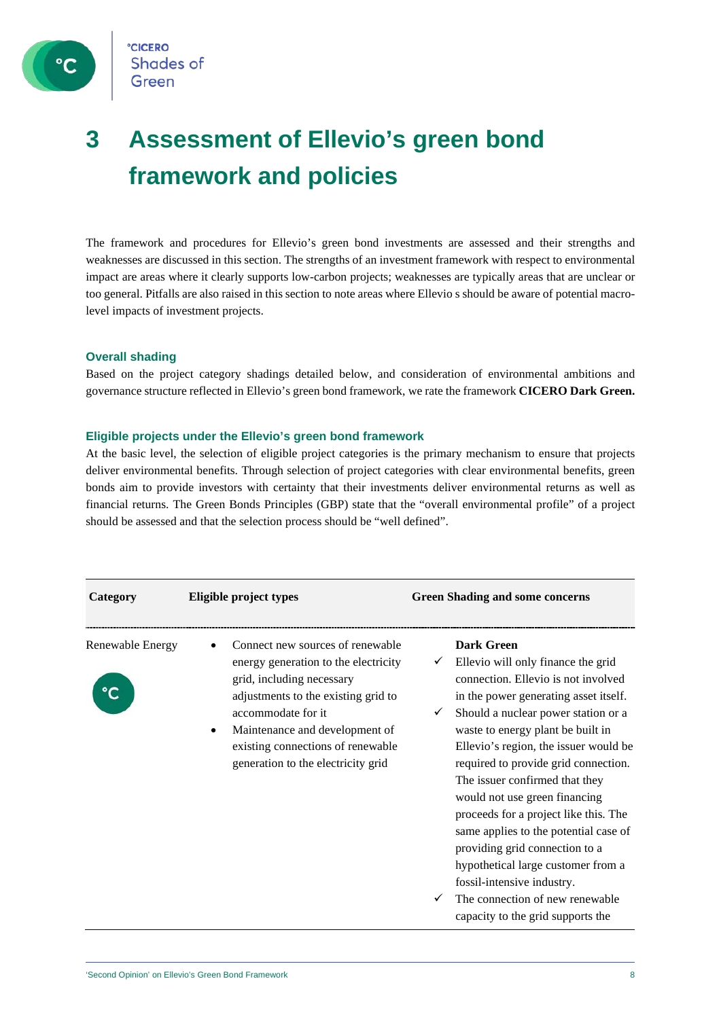

**CICERO Shades of** Green

### **3 Assessment of Ellevio's green bond framework and policies**

The framework and procedures for Ellevio's green bond investments are assessed and their strengths and weaknesses are discussed in this section. The strengths of an investment framework with respect to environmental impact are areas where it clearly supports low-carbon projects; weaknesses are typically areas that are unclear or too general. Pitfalls are also raised in this section to note areas where Ellevio s should be aware of potential macrolevel impacts of investment projects.

### **Overall shading**

Based on the project category shadings detailed below, and consideration of environmental ambitions and governance structure reflected in Ellevio's green bond framework, we rate the framework **CICERO Dark Green.**

### **Eligible projects under the Ellevio's green bond framework**

At the basic level, the selection of eligible project categories is the primary mechanism to ensure that projects deliver environmental benefits. Through selection of project categories with clear environmental benefits, green bonds aim to provide investors with certainty that their investments deliver environmental returns as well as financial returns. The Green Bonds Principles (GBP) state that the "overall environmental profile" of a project should be assessed and that the selection process should be "well defined".

| Category         | Eligible project types                                                                                                                                                                                                                                                          | <b>Green Shading and some concerns</b>                                                                                                                                                                                                                                                                                                                                                                                                                                                                                                                                                                                                            |
|------------------|---------------------------------------------------------------------------------------------------------------------------------------------------------------------------------------------------------------------------------------------------------------------------------|---------------------------------------------------------------------------------------------------------------------------------------------------------------------------------------------------------------------------------------------------------------------------------------------------------------------------------------------------------------------------------------------------------------------------------------------------------------------------------------------------------------------------------------------------------------------------------------------------------------------------------------------------|
| Renewable Energy | Connect new sources of renewable<br>energy generation to the electricity<br>grid, including necessary<br>adjustments to the existing grid to<br>accommodate for it<br>Maintenance and development of<br>existing connections of renewable<br>generation to the electricity grid | <b>Dark Green</b><br>Ellevio will only finance the grid<br>✓<br>connection. Ellevio is not involved<br>in the power generating asset itself.<br>Should a nuclear power station or a<br>waste to energy plant be built in<br>Ellevio's region, the issuer would be<br>required to provide grid connection.<br>The issuer confirmed that they<br>would not use green financing<br>proceeds for a project like this. The<br>same applies to the potential case of<br>providing grid connection to a<br>hypothetical large customer from a<br>fossil-intensive industry.<br>The connection of new renewable<br>✓<br>capacity to the grid supports the |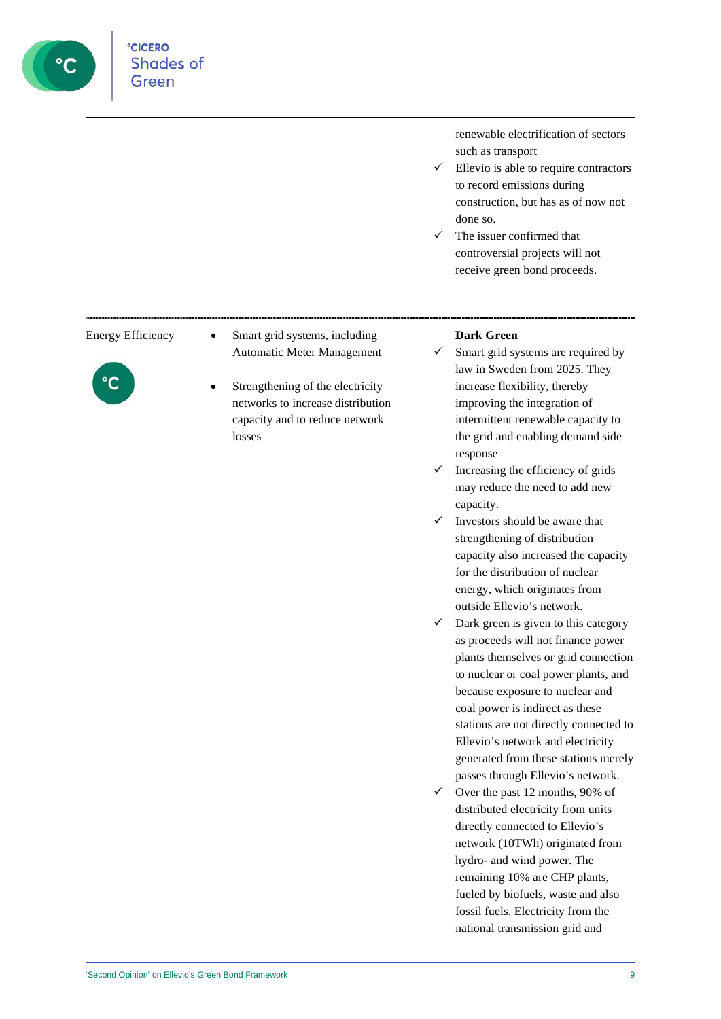

renewable electrification of sectors such as transport

- $\checkmark$  Ellevio is able to require contractors to record emissions during construction, but has as of now not done so.
- $\checkmark$  The issuer confirmed that controversial projects will not receive green bond proceeds.



- Energy Efficiency Smart grid systems, including Automatic Meter Management
	- Strengthening of the electricity networks to increase distribution capacity and to reduce network losses

### **Dark Green**

- $\checkmark$  Smart grid systems are required by law in Sweden from 2025. They increase flexibility, thereby improving the integration of intermittent renewable capacity to the grid and enabling demand side response
- $\checkmark$  Increasing the efficiency of grids may reduce the need to add new capacity.
- $\checkmark$  Investors should be aware that strengthening of distribution capacity also increased the capacity for the distribution of nuclear energy, which originates from outside Ellevio's network.
- $\checkmark$  Dark green is given to this category as proceeds will not finance power plants themselves or grid connection to nuclear or coal power plants, and because exposure to nuclear and coal power is indirect as these stations are not directly connected to Ellevio's network and electricity generated from these stations merely passes through Ellevio's network.
- $\checkmark$  Over the past 12 months, 90% of distributed electricity from units directly connected to Ellevio's network (10TWh) originated from hydro- and wind power. The remaining 10% are CHP plants, fueled by biofuels, waste and also fossil fuels. Electricity from the national transmission grid and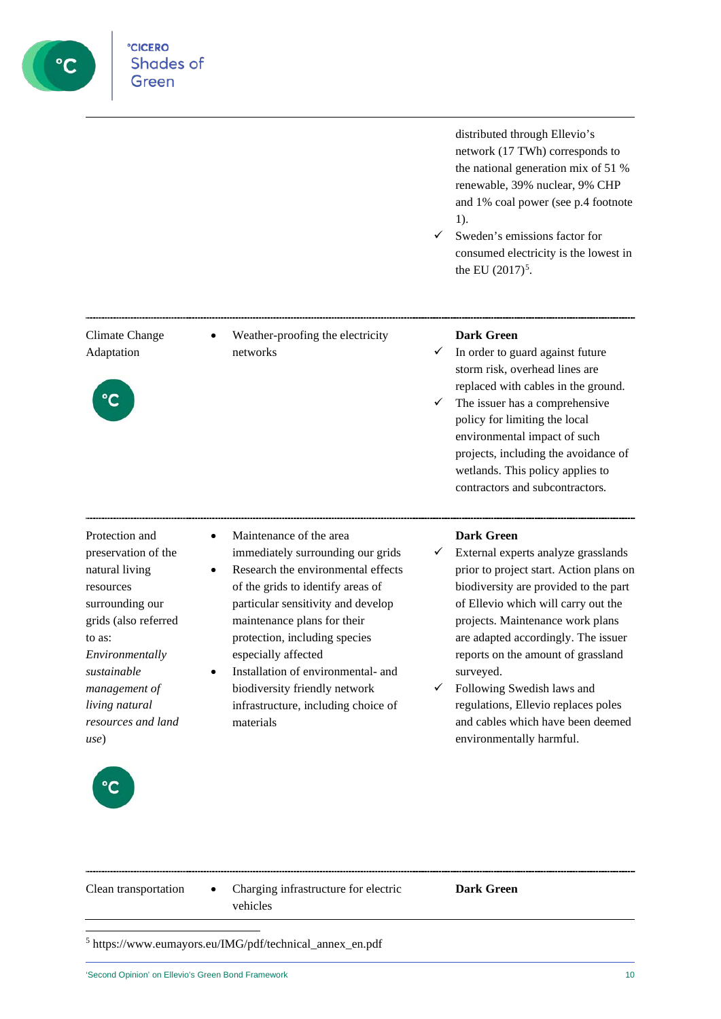

distributed through Ellevio's network (17 TWh) corresponds to the national generation mix of 51 % renewable, 39% nuclear, 9% CHP and 1% coal power (see p.4 footnote 1).

 $\checkmark$  Sweden's emissions factor for consumed electricity is the lowest in the EU  $(2017)^5$  $(2017)^5$ .

Climate Change Adaptation



| $\bullet$ | Weather-proofing the electricity |
|-----------|----------------------------------|
|           | networks                         |

### **Dark Green**

- $\checkmark$  In order to guard against future storm risk, overhead lines are replaced with cables in the ground.
- $\checkmark$  The issuer has a comprehensive policy for limiting the local environmental impact of such projects, including the avoidance of wetlands. This policy applies to contractors and subcontractors.

- Protection and preservation of the natural living resources surrounding our grids (also referred to as: *Environmentally sustainable management of living natural resources and land use*)
- Maintenance of the area immediately surrounding our grids
- Research the environmental effects of the grids to identify areas of particular sensitivity and develop maintenance plans for their protection, including species especially affected
- Installation of environmental- and biodiversity friendly network infrastructure, including choice of materials

### **Dark Green**

- $\checkmark$  External experts analyze grasslands prior to project start. Action plans on biodiversity are provided to the part of Ellevio which will carry out the projects. Maintenance work plans are adapted accordingly. The issuer reports on the amount of grassland surveyed.
- $\checkmark$  Following Swedish laws and regulations, Ellevio replaces poles and cables which have been deemed environmentally harmful.



| Clean transportation | • Charging infrastructure for electric<br>vehicles | <b>Dark Green</b> |
|----------------------|----------------------------------------------------|-------------------|
|                      |                                                    |                   |

<span id="page-9-0"></span><sup>5</sup> https://www.eumayors.eu/IMG/pdf/technical\_annex\_en.pdf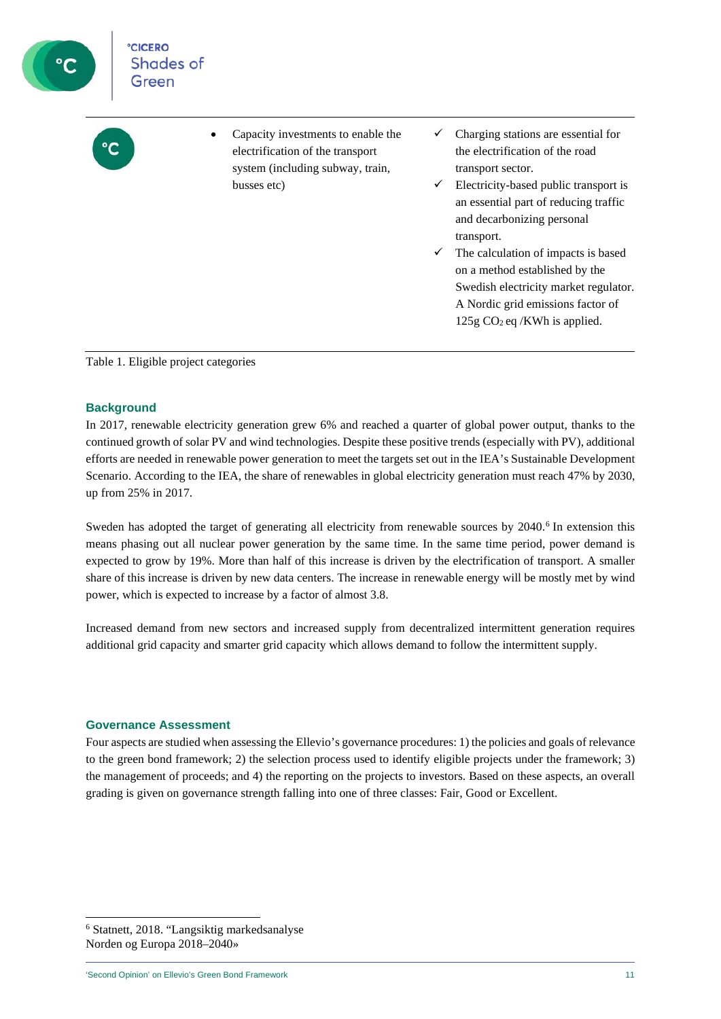| <b>CICERO</b><br><b>Shades of</b><br>Green |                                                                                                                           |                              |                                                                                                                                                                                                                                                                                                                                                                                                                                |
|--------------------------------------------|---------------------------------------------------------------------------------------------------------------------------|------------------------------|--------------------------------------------------------------------------------------------------------------------------------------------------------------------------------------------------------------------------------------------------------------------------------------------------------------------------------------------------------------------------------------------------------------------------------|
|                                            | Capacity investments to enable the<br>electrification of the transport<br>system (including subway, train,<br>busses etc) | $\checkmark$<br>$\checkmark$ | Charging stations are essential for<br>the electrification of the road<br>transport sector.<br>Electricity-based public transport is<br>an essential part of reducing traffic<br>and decarbonizing personal<br>transport.<br>The calculation of impacts is based<br>on a method established by the<br>Swedish electricity market regulator.<br>A Nordic grid emissions factor of<br>$125g$ CO <sub>2</sub> eq /KWh is applied. |

Table 1. Eligible project categories

### **Background**

In 2017, renewable electricity generation grew 6% and reached a quarter of global power output, thanks to the continued growth of solar PV and wind technologies. Despite these positive trends (especially with PV), additional efforts are needed in renewable power generation to meet the targets set out in the IEA's Sustainable Development Scenario. According to the IEA, the share of renewables in global electricity generation must reach 47% by 2030, up from 25% in 2017.

Sweden has adopted the target of generating all electricity from renewable sources by 2040.<sup>[6](#page-10-0)</sup> In extension this means phasing out all nuclear power generation by the same time. In the same time period, power demand is expected to grow by 19%. More than half of this increase is driven by the electrification of transport. A smaller share of this increase is driven by new data centers. The increase in renewable energy will be mostly met by wind power, which is expected to increase by a factor of almost 3.8.

Increased demand from new sectors and increased supply from decentralized intermittent generation requires additional grid capacity and smarter grid capacity which allows demand to follow the intermittent supply.

### **Governance Assessment**

Four aspects are studied when assessing the Ellevio's governance procedures: 1) the policies and goals of relevance to the green bond framework; 2) the selection process used to identify eligible projects under the framework; 3) the management of proceeds; and 4) the reporting on the projects to investors. Based on these aspects, an overall grading is given on governance strength falling into one of three classes: Fair, Good or Excellent.

<span id="page-10-0"></span><sup>6</sup> Statnett, 2018. "Langsiktig markedsanalyse Norden og Europa 2018–2040»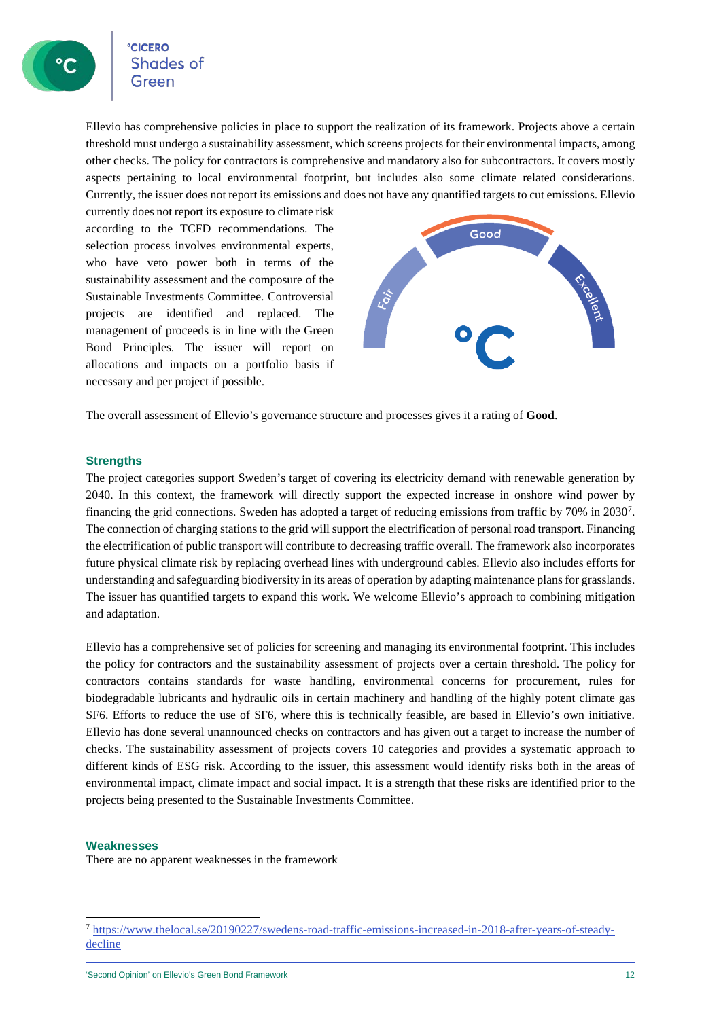### **CICERO** Shades of

Ellevio has comprehensive policies in place to support the realization of its framework. Projects above a certain threshold must undergo a sustainability assessment, which screens projects for their environmental impacts, among other checks. The policy for contractors is comprehensive and mandatory also for subcontractors. It covers mostly aspects pertaining to local environmental footprint, but includes also some climate related considerations. Currently, the issuer does not report its emissions and does not have any quantified targets to cut emissions. Ellevio

currently does not report its exposure to climate risk according to the TCFD recommendations. The selection process involves environmental experts, who have veto power both in terms of the sustainability assessment and the composure of the Sustainable Investments Committee. Controversial projects are identified and replaced. The management of proceeds is in line with the Green Bond Principles. The issuer will report on allocations and impacts on a portfolio basis if necessary and per project if possible.



The overall assessment of Ellevio's governance structure and processes gives it a rating of **Good**.

#### **Strengths**

The project categories support Sweden's target of covering its electricity demand with renewable generation by 2040. In this context, the framework will directly support the expected increase in onshore wind power by financing the grid connections. Sweden has adopted a target of reducing emissions from traffic by [7](#page-11-0)0% in 2030<sup>7</sup>. The connection of charging stations to the grid will support the electrification of personal road transport. Financing the electrification of public transport will contribute to decreasing traffic overall. The framework also incorporates future physical climate risk by replacing overhead lines with underground cables. Ellevio also includes efforts for understanding and safeguarding biodiversity in its areas of operation by adapting maintenance plansfor grasslands. The issuer has quantified targets to expand this work. We welcome Ellevio's approach to combining mitigation and adaptation.

Ellevio has a comprehensive set of policies for screening and managing its environmental footprint. This includes the policy for contractors and the sustainability assessment of projects over a certain threshold. The policy for contractors contains standards for waste handling, environmental concerns for procurement, rules for biodegradable lubricants and hydraulic oils in certain machinery and handling of the highly potent climate gas SF6. Efforts to reduce the use of SF6, where this is technically feasible, are based in Ellevio's own initiative. Ellevio has done several unannounced checks on contractors and has given out a target to increase the number of checks. The sustainability assessment of projects covers 10 categories and provides a systematic approach to different kinds of ESG risk. According to the issuer, this assessment would identify risks both in the areas of environmental impact, climate impact and social impact. It is a strength that these risks are identified prior to the projects being presented to the Sustainable Investments Committee.

#### **Weaknesses**

There are no apparent weaknesses in the framework

<span id="page-11-0"></span><sup>7</sup> [https://www.thelocal.se/20190227/swedens-road-traffic-emissions-increased-in-2018-after-years-of-steady](https://www.thelocal.se/20190227/swedens-road-traffic-emissions-increased-in-2018-after-years-of-steady-decline)[decline](https://www.thelocal.se/20190227/swedens-road-traffic-emissions-increased-in-2018-after-years-of-steady-decline)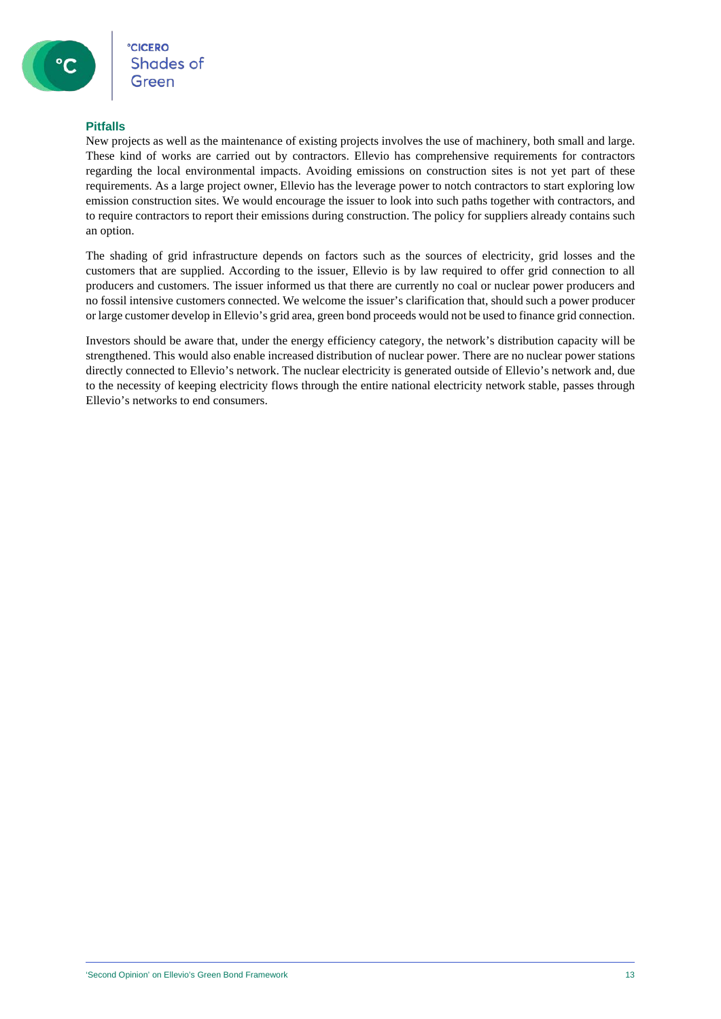### **Pitfalls**

New projects as well as the maintenance of existing projects involves the use of machinery, both small and large. These kind of works are carried out by contractors. Ellevio has comprehensive requirements for contractors regarding the local environmental impacts. Avoiding emissions on construction sites is not yet part of these requirements. As a large project owner, Ellevio has the leverage power to notch contractors to start exploring low emission construction sites. We would encourage the issuer to look into such paths together with contractors, and to require contractors to report their emissions during construction. The policy for suppliers already contains such an option.

The shading of grid infrastructure depends on factors such as the sources of electricity, grid losses and the customers that are supplied. According to the issuer, Ellevio is by law required to offer grid connection to all producers and customers. The issuer informed us that there are currently no coal or nuclear power producers and no fossil intensive customers connected. We welcome the issuer's clarification that, should such a power producer or large customer develop in Ellevio's grid area, green bond proceeds would not be used to finance grid connection.

Investors should be aware that, under the energy efficiency category, the network's distribution capacity will be strengthened. This would also enable increased distribution of nuclear power. There are no nuclear power stations directly connected to Ellevio's network. The nuclear electricity is generated outside of Ellevio's network and, due to the necessity of keeping electricity flows through the entire national electricity network stable, passes through Ellevio's networks to end consumers.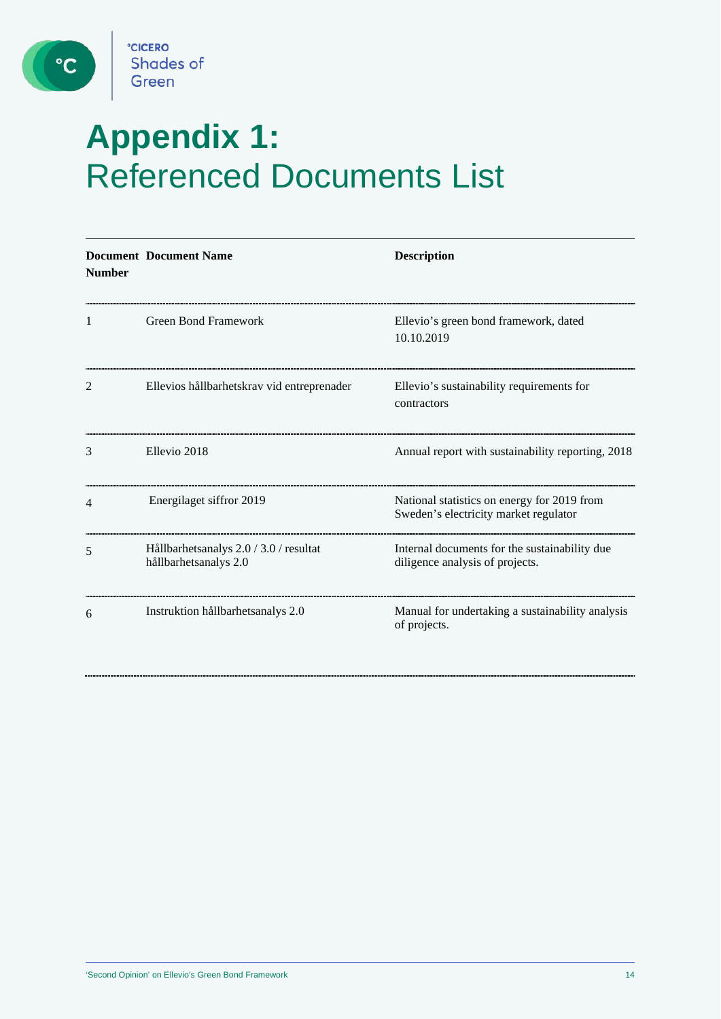

 $\left( \begin{array}{c} \circ \mathsf{c} \end{array} \right)$ 

### **Appendix 1:** Referenced Documents List

| <b>Number</b> | <b>Document Document Name</b>                                   | <b>Description</b>                                                                   |
|---------------|-----------------------------------------------------------------|--------------------------------------------------------------------------------------|
| 1             | <b>Green Bond Framework</b>                                     | Ellevio's green bond framework, dated<br>10.10.2019                                  |
| 2             | Ellevios hållbarhetskrav vid entreprenader                      | Ellevio's sustainability requirements for<br>contractors                             |
| 3             | Ellevio 2018                                                    | Annual report with sustainability reporting, 2018                                    |
| 4             | Energilaget siffror 2019                                        | National statistics on energy for 2019 from<br>Sweden's electricity market regulator |
| 5             | Hållbarhetsanalys 2.0 / 3.0 / resultat<br>hållbarhetsanalys 2.0 | Internal documents for the sustainability due<br>diligence analysis of projects.     |
| 6             | Instruktion hållbarhetsanalys 2.0                               | Manual for undertaking a sustainability analysis<br>of projects.                     |